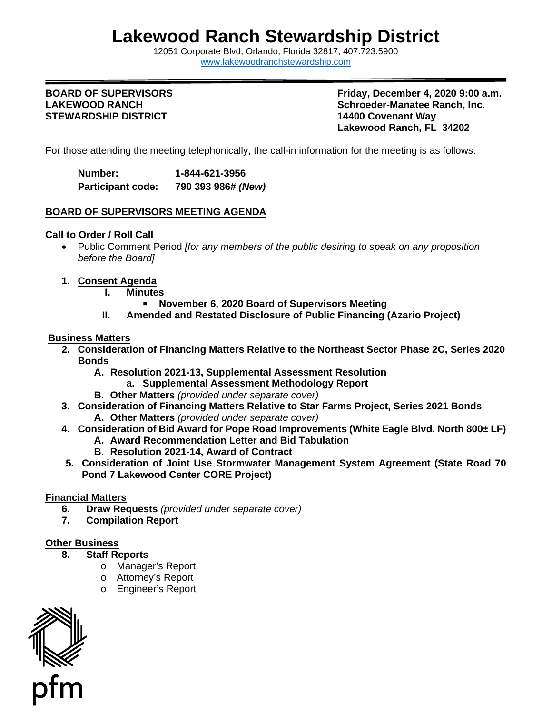## **Lakewood Ranch Stewardship District**

12051 Corporate Blvd, Orlando, Florida 32817; 407.723.5900 [www.lakewoodranchstewardship.com](http://www.lakewoodranchstewardship.com/) 

# **STEWARDSHIP DISTRICT**

**BOARD OF SUPERVISORS Friday, December 4, 2020 9:00 a.m.**<br>
LAKEWOOD RANCH Schroeder-Manatee Ranch. Inc. **Schroeder-Manatee Ranch, Inc. 14400 Covenant Wav Lakewood Ranch, FL 34202** 

For those attending the meeting telephonically, the call-in information for the meeting is as follows:

**Number: 1-844-621-3956 Participant code: 790 393 986#** *(New)* 

#### **BOARD OF SUPERVISORS MEETING AGENDA**

#### **Call to Order / Roll Call**

- Public Comment Period *[for any members of the public desiring to speak on any proposition before the Board]*
- **1. Consent Agenda**
	- **I. Minutes** 
		- **November 6, 2020 Board of Supervisors Meeting**
	- **II. Amended and Restated Disclosure of Public Financing (Azario Project)**

#### **Business Matters**

- **2. Consideration of Financing Matters Relative to the Northeast Sector Phase 2C, Series 2020 Bonds** 
	- **A. Resolution 2021-13, Supplemental Assessment Resolution**
	- **a. Supplemental Assessment Methodology Report**
	- **B. Other Matters** *(provided under separate cover)*
- **3. Consideration of Financing Matters Relative to Star Farms Project, Series 2021 Bonds A. Other Matters** *(provided under separate cover)*
- **4. Consideration of Bid Award for Pope Road Improvements (White Eagle Blvd. North 800± LF) A. Award Recommendation Letter and Bid Tabulation** 
	- **B. Resolution 2021-14, Award of Contract**
- **5. Consideration of Joint Use Stormwater Management System Agreement (State Road 70 Pond 7 Lakewood Center CORE Project)**

#### **Financial Matters**

- **6. Draw Requests** *(provided under separate cover)*
- **7. Compilation Report**

### **Other Business**

- **8. Staff Reports** 
	- o Manager's Report
	- o Attorney's Report
	- o Engineer's Report